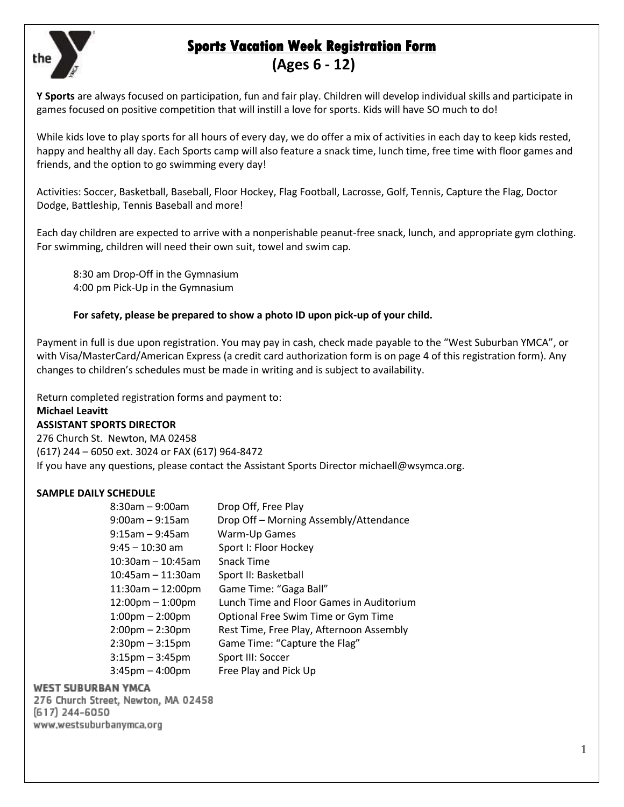

# **Sports Vacation Week Registration Form (Ages 6 - 12)**

**Y Sports** are always focused on participation, fun and fair play. Children will develop individual skills and participate in games focused on positive competition that will instill a love for sports. Kids will have SO much to do!

While kids love to play sports for all hours of every day, we do offer a mix of activities in each day to keep kids rested, happy and healthy all day. Each Sports camp will also feature a snack time, lunch time, free time with floor games and friends, and the option to go swimming every day!

Activities: Soccer, Basketball, Baseball, Floor Hockey, Flag Football, Lacrosse, Golf, Tennis, Capture the Flag, Doctor Dodge, Battleship, Tennis Baseball and more!

Each day children are expected to arrive with a nonperishable peanut-free snack, lunch, and appropriate gym clothing. For swimming, children will need their own suit, towel and swim cap.

8:30 am Drop-Off in the Gymnasium 4:00 pm Pick-Up in the Gymnasium

#### **For safety, please be prepared to show a photo ID upon pick-up of your child.**

Payment in full is due upon registration. You may pay in cash, check made payable to the "West Suburban YMCA", or with Visa/MasterCard/American Express (a credit card authorization form is on page 4 of this registration form). Any changes to children's schedules must be made in writing and is subject to availability.

Return completed registration forms and payment to:

#### **Michael Leavitt**

#### **ASSISTANT SPORTS DIRECTOR**

276 Church St. Newton, MA 02458 (617) 244 – 6050 ext. 3024 or FAX (617) 964-8472 If you have any questions, please contact the Assistant Sports Director michaell@wsymca.org.

# **SAMPLE DAILY SCHEDULE**

| $8:30$ am - 9:00am                 | Drop Off, Free Play                      |
|------------------------------------|------------------------------------------|
| $9:00$ am – $9:15$ am              | Drop Off - Morning Assembly/Attendance   |
| $9:15$ am - $9:45$ am              | Warm-Up Games                            |
| $9:45 - 10:30$ am                  | Sport I: Floor Hockey                    |
| $10:30$ am – 10:45am               | Snack Time                               |
| $10:45$ am - 11:30am               | Sport II: Basketball                     |
| $11:30$ am - 12:00pm               | Game Time: "Gaga Ball"                   |
| $12:00 \text{pm} - 1:00 \text{pm}$ | Lunch Time and Floor Games in Auditorium |
| $1:00 \text{pm} - 2:00 \text{pm}$  | Optional Free Swim Time or Gym Time      |
| $2:00$ pm $- 2:30$ pm              | Rest Time, Free Play, Afternoon Assembly |
| $2:30$ pm $-3:15$ pm               | Game Time: "Capture the Flag"            |
| $3:15$ pm $-3:45$ pm               | Sport III: Soccer                        |
| $3:45$ pm $-4:00$ pm               | Free Play and Pick Up                    |

#### **WEST SUBURBAN YMCA**

276 Church Street, Newton, MA 02458<br>(617) 244-6050 www.westsuburbanymca.org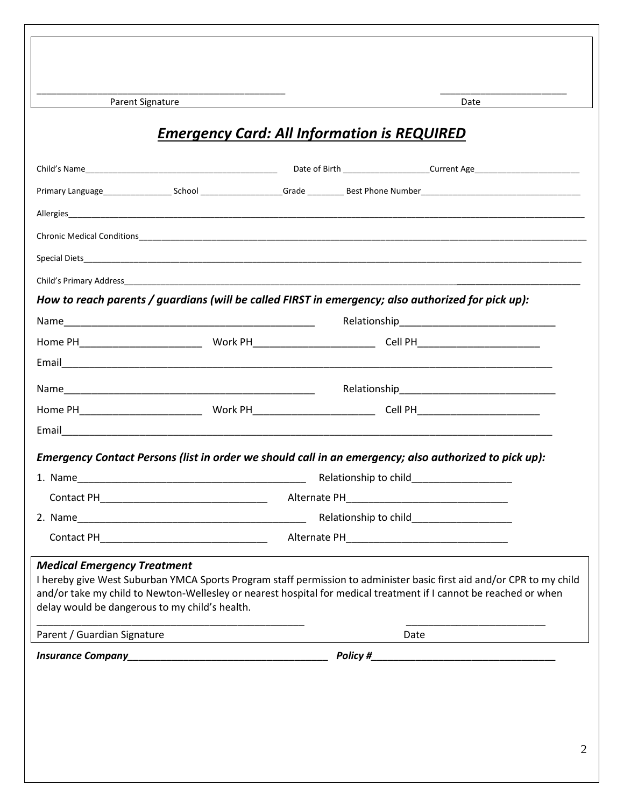Parent Signature Date Date

# *Emergency Card: All Information is REQUIRED*

\_\_\_\_\_\_\_\_\_\_\_\_\_\_\_\_\_\_\_\_\_\_\_\_\_\_\_\_\_\_\_\_\_\_\_\_\_\_\_\_\_\_\_\_\_\_\_\_\_ \_\_\_\_\_\_\_\_\_\_\_\_\_\_\_\_\_\_\_\_\_\_\_\_\_

|                                                                                      |  | Date of Birth __________________________Current Age_____________________________                                                                                                                                                           |
|--------------------------------------------------------------------------------------|--|--------------------------------------------------------------------------------------------------------------------------------------------------------------------------------------------------------------------------------------------|
|                                                                                      |  |                                                                                                                                                                                                                                            |
|                                                                                      |  |                                                                                                                                                                                                                                            |
|                                                                                      |  |                                                                                                                                                                                                                                            |
|                                                                                      |  |                                                                                                                                                                                                                                            |
|                                                                                      |  |                                                                                                                                                                                                                                            |
|                                                                                      |  | How to reach parents / guardians (will be called FIRST in emergency; also authorized for pick up):                                                                                                                                         |
|                                                                                      |  |                                                                                                                                                                                                                                            |
|                                                                                      |  |                                                                                                                                                                                                                                            |
|                                                                                      |  |                                                                                                                                                                                                                                            |
|                                                                                      |  |                                                                                                                                                                                                                                            |
|                                                                                      |  |                                                                                                                                                                                                                                            |
|                                                                                      |  |                                                                                                                                                                                                                                            |
|                                                                                      |  | Emergency Contact Persons (list in order we should call in an emergency; also authorized to pick up):                                                                                                                                      |
|                                                                                      |  |                                                                                                                                                                                                                                            |
|                                                                                      |  |                                                                                                                                                                                                                                            |
|                                                                                      |  |                                                                                                                                                                                                                                            |
| <b>Medical Emergency Treatment</b><br>delay would be dangerous to my child's health. |  | I hereby give West Suburban YMCA Sports Program staff permission to administer basic first aid and/or CPR to my child<br>and/or take my child to Newton-Wellesley or nearest hospital for medical treatment if I cannot be reached or when |
| Parent / Guardian Signature                                                          |  | Date                                                                                                                                                                                                                                       |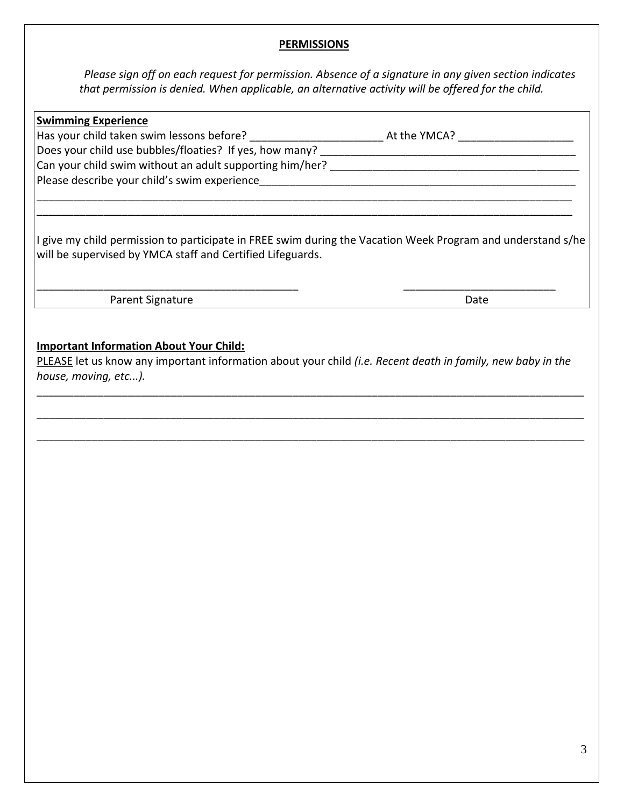#### **PERMISSIONS**

*Please sign off on each request for permission. Absence of a signature in any given section indicates that permission is denied. When applicable, an alternative activity will be offered for the child.* 

| <b>Swimming Experience</b>                                                                                                                                                |              |
|---------------------------------------------------------------------------------------------------------------------------------------------------------------------------|--------------|
| Has your child taken swim lessons before?                                                                                                                                 | At the YMCA? |
| Does your child use bubbles/floaties? If yes, how many?                                                                                                                   |              |
| Can your child swim without an adult supporting him/her?                                                                                                                  |              |
| Please describe your child's swim experience                                                                                                                              |              |
|                                                                                                                                                                           |              |
|                                                                                                                                                                           |              |
| I give my child permission to participate in FREE swim during the Vacation Week Program and understand s/he<br>will be supervised by YMCA staff and Certified Lifeguards. |              |
| <b>Parent Signature</b>                                                                                                                                                   | Date         |
|                                                                                                                                                                           |              |

# **Important Information About Your Child:**

PLEASE let us know any important information about your child *(i.e. Recent death in family, new baby in the house, moving, etc...).*

\_\_\_\_\_\_\_\_\_\_\_\_\_\_\_\_\_\_\_\_\_\_\_\_\_\_\_\_\_\_\_\_\_\_\_\_\_\_\_\_\_\_\_\_\_\_\_\_\_\_\_\_\_\_\_\_\_\_\_\_\_\_\_\_\_\_\_\_\_\_\_\_\_\_\_\_\_\_\_\_\_\_\_\_\_\_\_\_\_\_

\_\_\_\_\_\_\_\_\_\_\_\_\_\_\_\_\_\_\_\_\_\_\_\_\_\_\_\_\_\_\_\_\_\_\_\_\_\_\_\_\_\_\_\_\_\_\_\_\_\_\_\_\_\_\_\_\_\_\_\_\_\_\_\_\_\_\_\_\_\_\_\_\_\_\_\_\_\_\_\_\_\_\_\_\_\_\_\_\_\_

\_\_\_\_\_\_\_\_\_\_\_\_\_\_\_\_\_\_\_\_\_\_\_\_\_\_\_\_\_\_\_\_\_\_\_\_\_\_\_\_\_\_\_\_\_\_\_\_\_\_\_\_\_\_\_\_\_\_\_\_\_\_\_\_\_\_\_\_\_\_\_\_\_\_\_\_\_\_\_\_\_\_\_\_\_\_\_\_\_\_